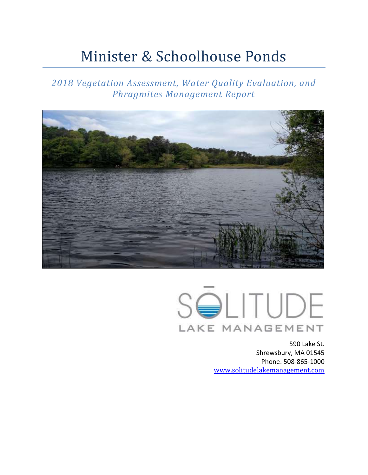# Minister & Schoolhouse Ponds

*2018 Vegetation Assessment, Water Quality Evaluation, and Phragmites Management Report*





590 Lake St. Shrewsbury, MA 01545 Phone: 508-865-1000 [www.solitudelakemanagement.com](http://www.solitudelakemanagement.com/)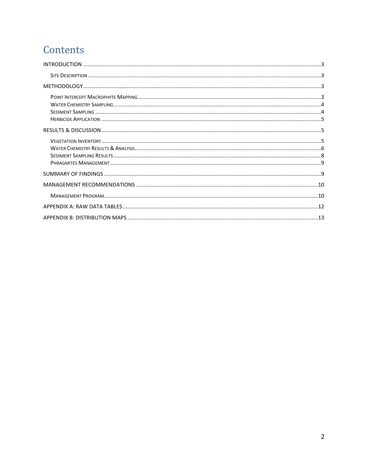## Contents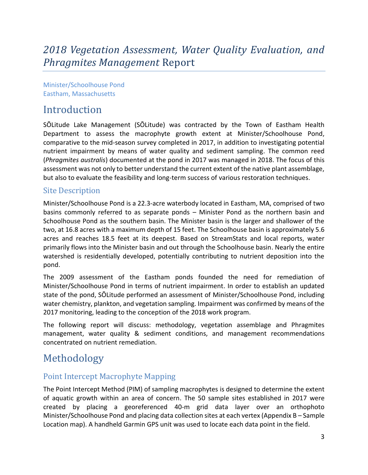## *2018 Vegetation Assessment, Water Quality Evaluation, and Phragmites Management* Report

Minister/Schoolhouse Pond Eastham, Massachusetts

## <span id="page-2-0"></span>Introduction

SŌLitude Lake Management (SŌLitude) was contracted by the Town of Eastham Health Department to assess the macrophyte growth extent at Minister/Schoolhouse Pond, comparative to the mid-season survey completed in 2017, in addition to investigating potential nutrient impairment by means of water quality and sediment sampling. The common reed (*Phragmites australis*) documented at the pond in 2017 was managed in 2018. The focus of this assessment was not only to better understand the current extent of the native plant assemblage, but also to evaluate the feasibility and long-term success of various restoration techniques.

#### <span id="page-2-1"></span>Site Description

Minister/Schoolhouse Pond is a 22.3-acre waterbody located in Eastham, MA, comprised of two basins commonly referred to as separate ponds – Minister Pond as the northern basin and Schoolhouse Pond as the southern basin. The Minister basin is the larger and shallower of the two, at 16.8 acres with a maximum depth of 15 feet. The Schoolhouse basin is approximately 5.6 acres and reaches 18.5 feet at its deepest. Based on StreamStats and local reports, water primarily flows into the Minister basin and out through the Schoolhouse basin. Nearly the entire watershed is residentially developed, potentially contributing to nutrient deposition into the pond.

The 2009 assessment of the Eastham ponds founded the need for remediation of Minister/Schoolhouse Pond in terms of nutrient impairment. In order to establish an updated state of the pond, SŌLitude performed an assessment of Minister/Schoolhouse Pond, including water chemistry, plankton, and vegetation sampling. Impairment was confirmed by means of the 2017 monitoring, leading to the conception of the 2018 work program.

The following report will discuss: methodology, vegetation assemblage and Phragmites management, water quality & sediment conditions, and management recommendations concentrated on nutrient remediation.

## <span id="page-2-2"></span>Methodology

#### <span id="page-2-3"></span>Point Intercept Macrophyte Mapping

The Point Intercept Method (PIM) of sampling macrophytes is designed to determine the extent of aquatic growth within an area of concern. The 50 sample sites established in 2017 were created by placing a georeferenced 40-m grid data layer over an orthophoto Minister/Schoolhouse Pond and placing data collection sites at each vertex (Appendix B – Sample Location map). A handheld Garmin GPS unit was used to locate each data point in the field.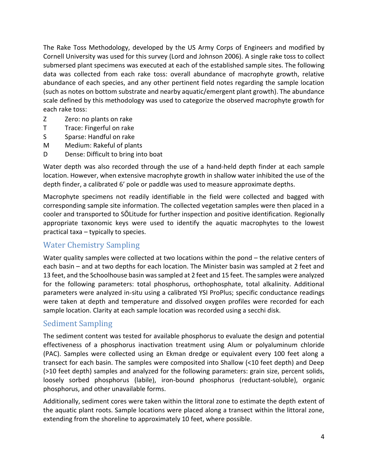The Rake Toss Methodology, developed by the US Army Corps of Engineers and modified by Cornell University was used for this survey (Lord and Johnson 2006). A single rake toss to collect submersed plant specimens was executed at each of the established sample sites. The following data was collected from each rake toss: overall abundance of macrophyte growth, relative abundance of each species, and any other pertinent field notes regarding the sample location (such as notes on bottom substrate and nearby aquatic/emergent plant growth). The abundance scale defined by this methodology was used to categorize the observed macrophyte growth for each rake toss:

- Z Zero: no plants on rake
- T Trace: Fingerful on rake
- S Sparse: Handful on rake
- M Medium: Rakeful of plants
- D Dense: Difficult to bring into boat

Water depth was also recorded through the use of a hand-held depth finder at each sample location. However, when extensive macrophyte growth in shallow water inhibited the use of the depth finder, a calibrated 6' pole or paddle was used to measure approximate depths.

Macrophyte specimens not readily identifiable in the field were collected and bagged with corresponding sample site information. The collected vegetation samples were then placed in a cooler and transported to SŌLitude for further inspection and positive identification. Regionally appropriate taxonomic keys were used to identify the aquatic macrophytes to the lowest practical taxa – typically to species.

#### <span id="page-3-0"></span>Water Chemistry Sampling

Water quality samples were collected at two locations within the pond – the relative centers of each basin – and at two depths for each location. The Minister basin was sampled at 2 feet and 13 feet, and the Schoolhouse basin was sampled at 2 feet and 15 feet. The samples were analyzed for the following parameters: total phosphorus, orthophosphate, total alkalinity. Additional parameters were analyzed in-situ using a calibrated YSI ProPlus; specific conductance readings were taken at depth and temperature and dissolved oxygen profiles were recorded for each sample location. Clarity at each sample location was recorded using a secchi disk.

#### <span id="page-3-1"></span>Sediment Sampling

The sediment content was tested for available phosphorus to evaluate the design and potential effectiveness of a phosphorus inactivation treatment using Alum or polyaluminum chloride (PAC). Samples were collected using an Ekman dredge or equivalent every 100 feet along a transect for each basin. The samples were composited into Shallow (<10 feet depth) and Deep (>10 feet depth) samples and analyzed for the following parameters: grain size, percent solids, loosely sorbed phosphorus (labile), iron-bound phosphorus (reductant-soluble), organic phosphorus, and other unavailable forms.

Additionally, sediment cores were taken within the littoral zone to estimate the depth extent of the aquatic plant roots. Sample locations were placed along a transect within the littoral zone, extending from the shoreline to approximately 10 feet, where possible.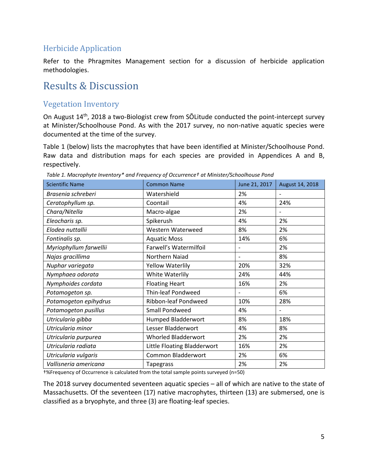#### <span id="page-4-0"></span>Herbicide Application

Refer to the Phragmites Management section for a discussion of herbicide application methodologies.

## <span id="page-4-1"></span>Results & Discussion

#### <span id="page-4-2"></span>Vegetation Inventory

On August 14th, 2018 a two-Biologist crew from SŌLitude conducted the point-intercept survey at Minister/Schoolhouse Pond. As with the 2017 survey, no non-native aquatic species were documented at the time of the survey.

Table 1 (below) lists the macrophytes that have been identified at Minister/Schoolhouse Pond. Raw data and distribution maps for each species are provided in Appendices A and B, respectively.

| <b>Scientific Name</b> | <b>Common Name</b>          | June 21, 2017     | August 14, 2018 |
|------------------------|-----------------------------|-------------------|-----------------|
| Brasenia schreberi     | Watershield                 | 2%                |                 |
| Ceratophyllum sp.      | Coontail                    | 4%                | 24%             |
| Chara/Nitella          | Macro-algae                 | 2%                |                 |
| Eleocharis sp.         | Spikerush                   | 4%                | 2%              |
| Elodea nuttallii       | Western Waterweed           | 8%                | 2%              |
| Fontinalis sp.         | <b>Aquatic Moss</b>         | 14%               | 6%              |
| Myriophyllum farwellii | Farwell's Watermilfoil      | $\qquad \qquad -$ | 2%              |
| Najas gracillima       | Northern Naiad              |                   | 8%              |
| Nuphar variegata       | <b>Yellow Waterlily</b>     | 20%               | 32%             |
| Nymphaea odorata       | White Waterlily             | 24%               | 44%             |
| Nymphoides cordata     | <b>Floating Heart</b>       | 16%               | 2%              |
| Potamogeton sp.        | Thin-leaf Pondweed          |                   | 6%              |
| Potamogeton epihydrus  | Ribbon-leaf Pondweed        | 10%               | 28%             |
| Potamogeton pusillus   | Small Pondweed              | 4%                |                 |
| Utricularia gibba      | Humped Bladderwort          | 8%                | 18%             |
| Utricularia minor      | Lesser Bladderwort          | 4%                | 8%              |
| Utricularia purpurea   | <b>Whorled Bladderwort</b>  | 2%                | 2%              |
| Utricularia radiata    | Little Floating Bladderwort | 16%               | 2%              |
| Utricularia vulgaris   | Common Bladderwort          | 2%                | 6%              |
| Vallisneria americana  | <b>Tapegrass</b>            | 2%                | 2%              |

*Table 1. Macrophyte Inventory\* and Frequency of Occurrence† at Minister/Schoolhouse Pond*

†%Frequency of Occurrence is calculated from the total sample points surveyed (n=50)

The 2018 survey documented seventeen aquatic species – all of which are native to the state of Massachusetts. Of the seventeen (17) native macrophytes, thirteen (13) are submersed, one is classified as a bryophyte, and three (3) are floating-leaf species.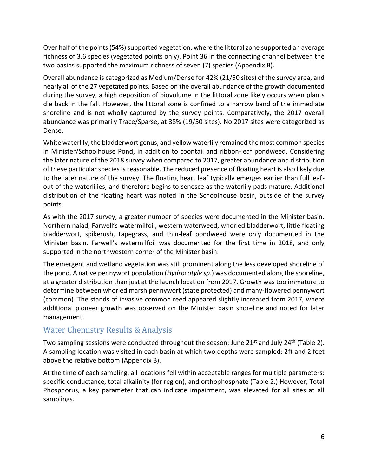Over half of the points (54%) supported vegetation, where the littoral zone supported an average richness of 3.6 species (vegetated points only). Point 36 in the connecting channel between the two basins supported the maximum richness of seven (7) species (Appendix B).

Overall abundance is categorized as Medium/Dense for 42% (21/50 sites) of the survey area, and nearly all of the 27 vegetated points. Based on the overall abundance of the growth documented during the survey, a high deposition of biovolume in the littoral zone likely occurs when plants die back in the fall. However, the littoral zone is confined to a narrow band of the immediate shoreline and is not wholly captured by the survey points. Comparatively, the 2017 overall abundance was primarily Trace/Sparse, at 38% (19/50 sites). No 2017 sites were categorized as Dense.

White waterlily, the bladderwort genus, and yellow waterlily remained the most common species in Minister/Schoolhouse Pond, in addition to coontail and ribbon-leaf pondweed. Considering the later nature of the 2018 survey when compared to 2017, greater abundance and distribution of these particular species is reasonable. The reduced presence of floating heart is also likely due to the later nature of the survey. The floating heart leaf typically emerges earlier than full leafout of the waterlilies, and therefore begins to senesce as the waterlily pads mature. Additional distribution of the floating heart was noted in the Schoolhouse basin, outside of the survey points.

As with the 2017 survey, a greater number of species were documented in the Minister basin. Northern naiad, Farwell's watermilfoil, western waterweed, whorled bladderwort, little floating bladderwort, spikerush, tapegrass, and thin-leaf pondweed were only documented in the Minister basin. Farwell's watermilfoil was documented for the first time in 2018, and only supported in the northwestern corner of the Minister basin.

The emergent and wetland vegetation was still prominent along the less developed shoreline of the pond. A native pennywort population (*Hydrocotyle sp*.) was documented along the shoreline, at a greater distribution than just at the launch location from 2017. Growth was too immature to determine between whorled marsh pennywort (state protected) and many-flowered pennywort (common). The stands of invasive common reed appeared slightly increased from 2017, where additional pioneer growth was observed on the Minister basin shoreline and noted for later management.

#### <span id="page-5-0"></span>Water Chemistry Results & Analysis

Two sampling sessions were conducted throughout the season: June  $21^{st}$  and July  $24^{th}$  (Table 2). A sampling location was visited in each basin at which two depths were sampled: 2ft and 2 feet above the relative bottom (Appendix B).

At the time of each sampling, all locations fell within acceptable ranges for multiple parameters: specific conductance, total alkalinity (for region), and orthophosphate (Table 2.) However, Total Phosphorus, a key parameter that can indicate impairment, was elevated for all sites at all samplings.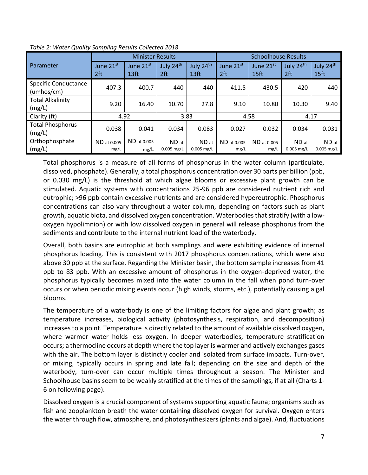|                                           |                     | <b>Minister Results</b>       |                              |                       | <b>Schoolhouse Results</b>   |                     |                       |                       |  |  |
|-------------------------------------------|---------------------|-------------------------------|------------------------------|-----------------------|------------------------------|---------------------|-----------------------|-----------------------|--|--|
| Parameter                                 | June 21st<br>2ft    | June 21st<br>13 <sub>ft</sub> | July 24th<br>2 <sub>ft</sub> | July 24th<br>13ft     | June 21st<br>2 <sup>ft</sup> | June 21st<br>15ft   | July 24th<br>2ft      | July 24th<br>15ft     |  |  |
| <b>Specific Conductance</b><br>(umbos/cm) | 407.3               | 400.7<br>440                  |                              | 440                   | 411.5                        |                     | 430.5<br>420          |                       |  |  |
| <b>Total Alkalinity</b><br>(mg/L)         | 9.20                | 16.40                         | 10.70                        | 27.8                  | 9.10                         | 10.80               | 10.30                 | 9.40                  |  |  |
| Clarity (ft)                              | 4.92                |                               |                              | 3.83                  | 4.58                         |                     | 4.17                  |                       |  |  |
| <b>Total Phosphorus</b><br>(mg/L)         | 0.038               | 0.041                         | 0.034                        | 0.083                 | 0.027                        | 0.032               | 0.034                 | 0.031                 |  |  |
| Orthophosphate<br>(mg/L)                  | ND at 0.005<br>mg/L | ND at 0.005<br>mg/L           | ND at<br>$0.005$ mg/L        | ND at<br>$0.005$ mg/L | ND at 0.005<br>mg/L          | ND at 0.005<br>mg/L | ND at<br>$0.005$ mg/L | ND at<br>$0.005$ mg/L |  |  |

*Table 2: Water Quality Sampling Results Collected 2018*

Total phosphorus is a measure of all forms of phosphorus in the water column (particulate, dissolved, phosphate). Generally, a total phosphorus concentration over 30 parts per billion (ppb, or 0.030 mg/L) is the threshold at which algae blooms or excessive plant growth can be stimulated. Aquatic systems with concentrations 25-96 ppb are considered nutrient rich and eutrophic; >96 ppb contain excessive nutrients and are considered hypereutrophic. Phosphorus concentrations can also vary throughout a water column, depending on factors such as plant growth, aquatic biota, and dissolved oxygen concentration. Waterbodies that stratify (with a lowoxygen hypolimnion) or with low dissolved oxygen in general will release phosphorus from the sediments and contribute to the internal nutrient load of the waterbody.

Overall, both basins are eutrophic at both samplings and were exhibiting evidence of internal phosphorus loading. This is consistent with 2017 phosphorus concentrations, which were also above 30 ppb at the surface. Regarding the Minister basin, the bottom sample increases from 41 ppb to 83 ppb. With an excessive amount of phosphorus in the oxygen-deprived water, the phosphorus typically becomes mixed into the water column in the fall when pond turn-over occurs or when periodic mixing events occur (high winds, storms, etc.), potentially causing algal blooms.

The temperature of a waterbody is one of the limiting factors for algae and plant growth; as temperature increases, biological activity (photosynthesis, respiration, and decomposition) increases to a point. Temperature is directly related to the amount of available dissolved oxygen, where warmer water holds less oxygen. In deeper waterbodies, temperature stratification occurs; a thermocline occurs at depth where the top layer is warmer and actively exchanges gases with the air. The bottom layer is distinctly cooler and isolated from surface impacts. Turn-over, or mixing, typically occurs in spring and late fall; depending on the size and depth of the waterbody, turn-over can occur multiple times throughout a season. The Minister and Schoolhouse basins seem to be weakly stratified at the times of the samplings, if at all (Charts 1- 6 on following page).

Dissolved oxygen is a crucial component of systems supporting aquatic fauna; organisms such as fish and zooplankton breath the water containing dissolved oxygen for survival. Oxygen enters the water through flow, atmosphere, and photosynthesizers (plants and algae). And, fluctuations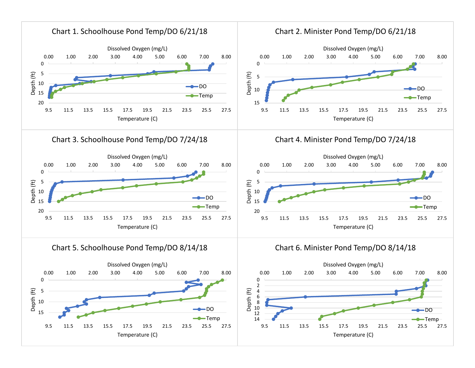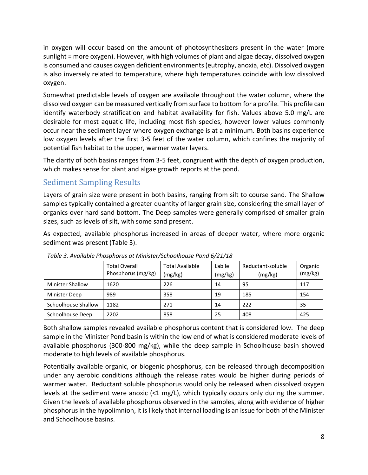in oxygen will occur based on the amount of photosynthesizers present in the water (more sunlight = more oxygen). However, with high volumes of plant and algae decay, dissolved oxygen is consumed and causes oxygen deficient environments (eutrophy, anoxia, etc). Dissolved oxygen is also inversely related to temperature, where high temperatures coincide with low dissolved oxygen.

Somewhat predictable levels of oxygen are available throughout the water column, where the dissolved oxygen can be measured vertically from surface to bottom for a profile. This profile can identify waterbody stratification and habitat availability for fish. Values above 5.0 mg/L are desirable for most aquatic life, including most fish species, however lower values commonly occur near the sediment layer where oxygen exchange is at a minimum. Both basins experience low oxygen levels after the first 3-5 feet of the water column, which confines the majority of potential fish habitat to the upper, warmer water layers.

The clarity of both basins ranges from 3-5 feet, congruent with the depth of oxygen production, which makes sense for plant and algae growth reports at the pond.

#### <span id="page-8-0"></span>Sediment Sampling Results

Layers of grain size were present in both basins, ranging from silt to course sand. The Shallow samples typically contained a greater quantity of larger grain size, considering the small layer of organics over hard sand bottom. The Deep samples were generally comprised of smaller grain sizes, such as levels of silt, with some sand present.

As expected, available phosphorus increased in areas of deeper water, where more organic sediment was present (Table 3).

|                         | <b>Total Overall</b><br>Phosphorus (mg/kg) | <b>Total Available</b><br>(mg/kg) | Labile<br>(mg/kg) | Reductant-soluble<br>(mg/kg) | Organic<br>(mg/kg) |
|-------------------------|--------------------------------------------|-----------------------------------|-------------------|------------------------------|--------------------|
| <b>Minister Shallow</b> | 1620                                       | 226                               | 14                | 95                           | 117                |
| Minister Deep           | 989                                        | 358                               | 19                | 185                          | 154                |
| Schoolhouse Shallow     | 1182                                       | 271                               | 14                | 222                          | 35                 |
| Schoolhouse Deep        | 2202                                       | 858                               | 25                | 408                          | 425                |

*Table 3. Available Phosphorus at Minister/Schoolhouse Pond 6/21/18*

Both shallow samples revealed available phosphorus content that is considered low. The deep sample in the Minister Pond basin is within the low end of what is considered moderate levels of available phosphorus (300-800 mg/kg), while the deep sample in Schoolhouse basin showed moderate to high levels of available phosphorus.

Potentially available organic, or biogenic phosphorus, can be released through decomposition under any aerobic conditions although the release rates would be higher during periods of warmer water. Reductant soluble phosphorus would only be released when dissolved oxygen levels at the sediment were anoxic  $\langle 1 \text{ mg/L} \rangle$ , which typically occurs only during the summer. Given the levels of available phosphorus observed in the samples, along with evidence of higher phosphorus in the hypolimnion, it is likely that internal loading is an issue for both of the Minister and Schoolhouse basins.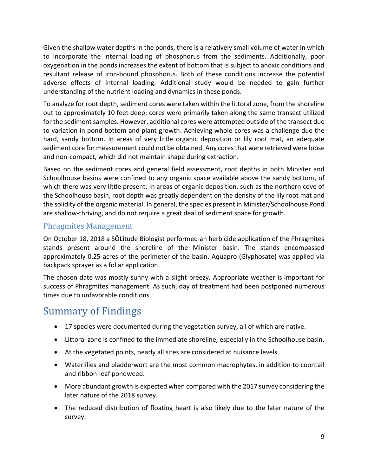Given the shallow water depths in the ponds, there is a relatively small volume of water in which to incorporate the internal loading of phosphorus from the sediments. Additionally, poor oxygenation in the ponds increases the extent of bottom that is subject to anoxic conditions and resultant release of iron-bound phosphorus. Both of these conditions increase the potential adverse effects of internal loading. Additional study would be needed to gain further understanding of the nutrient loading and dynamics in these ponds.

To analyze for root depth, sediment cores were taken within the littoral zone, from the shoreline out to approximately 10 feet deep; cores were primarily taken along the same transect utilized for the sediment samples. However, additional cores were attempted outside of the transect due to variation in pond bottom and plant growth. Achieving whole cores was a challenge due the hard, sandy bottom. In areas of very little organic deposition or lily root mat, an adequate sediment core for measurement could not be obtained. Any cores that were retrieved were loose and non-compact, which did not maintain shape during extraction.

Based on the sediment cores and general field assessment, root depths in both Minister and Schoolhouse basins were confined to any organic space available above the sandy bottom, of which there was very little present. In areas of organic deposition, such as the northern cove of the Schoolhouse basin, root depth was greatly dependent on the density of the lily root mat and the solidity of the organic material. In general, the species present in Minister/Schoolhouse Pond are shallow-thriving, and do not require a great deal of sediment space for growth.

#### <span id="page-9-0"></span>Phragmites Management

On October 18, 2018 a SŌLitude Biologist performed an herbicide application of the Phragmites stands present around the shoreline of the Minister basin. The stands encompassed approximately 0.25-acres of the perimeter of the basin. Aquapro (Glyphosate) was applied via backpack sprayer as a foliar application.

The chosen date was mostly sunny with a slight breezy. Appropriate weather is important for success of Phragmites management. As such, day of treatment had been postponed numerous times due to unfavorable conditions.

## <span id="page-9-1"></span>Summary of Findings

- 17 species were documented during the vegetation survey, all of which are native.
- Littoral zone is confined to the immediate shoreline, especially in the Schoolhouse basin.
- At the vegetated points, nearly all sites are considered at nuisance levels.
- Waterlilies and bladderwort are the most common macrophytes, in addition to coontail and ribbon-leaf pondweed.
- More abundant growth is expected when compared with the 2017 survey considering the later nature of the 2018 survey.
- The reduced distribution of floating heart is also likely due to the later nature of the survey.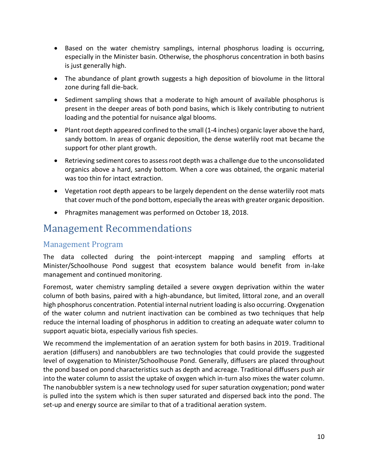- Based on the water chemistry samplings, internal phosphorus loading is occurring, especially in the Minister basin. Otherwise, the phosphorus concentration in both basins is just generally high.
- The abundance of plant growth suggests a high deposition of biovolume in the littoral zone during fall die-back.
- Sediment sampling shows that a moderate to high amount of available phosphorus is present in the deeper areas of both pond basins, which is likely contributing to nutrient loading and the potential for nuisance algal blooms.
- Plant root depth appeared confined to the small (1-4 inches) organic layer above the hard, sandy bottom. In areas of organic deposition, the dense waterlily root mat became the support for other plant growth.
- Retrieving sediment cores to assess root depth was a challenge due to the unconsolidated organics above a hard, sandy bottom. When a core was obtained, the organic material was too thin for intact extraction.
- Vegetation root depth appears to be largely dependent on the dense waterlily root mats that cover much of the pond bottom, especially the areas with greater organic deposition.
- Phragmites management was performed on October 18, 2018.

## <span id="page-10-0"></span>Management Recommendations

#### <span id="page-10-1"></span>Management Program

The data collected during the point-intercept mapping and sampling efforts at Minister/Schoolhouse Pond suggest that ecosystem balance would benefit from in-lake management and continued monitoring.

Foremost, water chemistry sampling detailed a severe oxygen deprivation within the water column of both basins, paired with a high-abundance, but limited, littoral zone, and an overall high phosphorus concentration. Potential internal nutrient loading is also occurring. Oxygenation of the water column and nutrient inactivation can be combined as two techniques that help reduce the internal loading of phosphorus in addition to creating an adequate water column to support aquatic biota, especially various fish species.

We recommend the implementation of an aeration system for both basins in 2019. Traditional aeration (diffusers) and nanobubblers are two technologies that could provide the suggested level of oxygenation to Minister/Schoolhouse Pond. Generally, diffusers are placed throughout the pond based on pond characteristics such as depth and acreage. Traditional diffusers push air into the water column to assist the uptake of oxygen which in-turn also mixes the water column. The nanobubbler system is a new technology used for super saturation oxygenation; pond water is pulled into the system which is then super saturated and dispersed back into the pond. The set-up and energy source are similar to that of a traditional aeration system.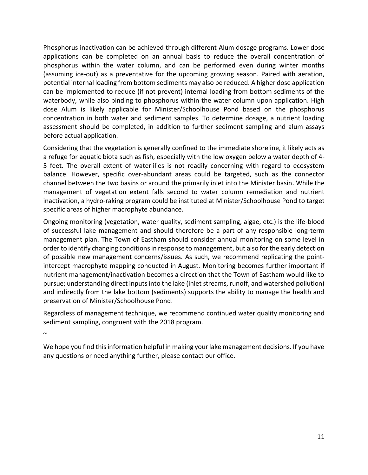Phosphorus inactivation can be achieved through different Alum dosage programs. Lower dose applications can be completed on an annual basis to reduce the overall concentration of phosphorus within the water column, and can be performed even during winter months (assuming ice-out) as a preventative for the upcoming growing season. Paired with aeration, potential internal loading from bottom sediments may also be reduced. A higher dose application can be implemented to reduce (if not prevent) internal loading from bottom sediments of the waterbody, while also binding to phosphorus within the water column upon application. High dose Alum is likely applicable for Minister/Schoolhouse Pond based on the phosphorus concentration in both water and sediment samples. To determine dosage, a nutrient loading assessment should be completed, in addition to further sediment sampling and alum assays before actual application.

Considering that the vegetation is generally confined to the immediate shoreline, it likely acts as a refuge for aquatic biota such as fish, especially with the low oxygen below a water depth of 4- 5 feet. The overall extent of waterlilies is not readily concerning with regard to ecosystem balance. However, specific over-abundant areas could be targeted, such as the connector channel between the two basins or around the primarily inlet into the Minister basin. While the management of vegetation extent falls second to water column remediation and nutrient inactivation, a hydro-raking program could be instituted at Minister/Schoolhouse Pond to target specific areas of higher macrophyte abundance.

Ongoing monitoring (vegetation, water quality, sediment sampling, algae, etc.) is the life-blood of successful lake management and should therefore be a part of any responsible long-term management plan. The Town of Eastham should consider annual monitoring on some level in order to identify changing conditions in response to management, but also for the early detection of possible new management concerns/issues. As such, we recommend replicating the pointintercept macrophyte mapping conducted in August. Monitoring becomes further important if nutrient management/inactivation becomes a direction that the Town of Eastham would like to pursue; understanding direct inputs into the lake (inlet streams, runoff, and watershed pollution) and indirectly from the lake bottom (sediments) supports the ability to manage the health and preservation of Minister/Schoolhouse Pond.

Regardless of management technique, we recommend continued water quality monitoring and sediment sampling, congruent with the 2018 program.

 $\sim$ 

We hope you find this information helpful in making your lake management decisions. If you have any questions or need anything further, please contact our office.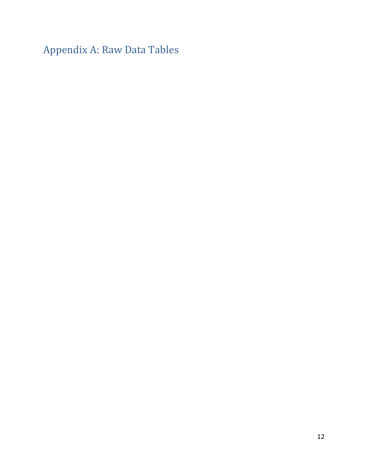Appendix A: Raw Data Tables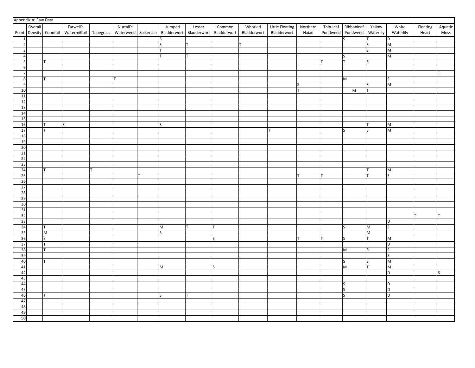|                         | Appendix A: Raw Data |                        |              |  |           |  |                                                                             |              |        |             |                 |          |                                                                                                            |                         |                                                                                       |          |         |
|-------------------------|----------------------|------------------------|--------------|--|-----------|--|-----------------------------------------------------------------------------|--------------|--------|-------------|-----------------|----------|------------------------------------------------------------------------------------------------------------|-------------------------|---------------------------------------------------------------------------------------|----------|---------|
|                         | Overall              |                        | Farwell's    |  | Nuttall's |  | Humped                                                                      | Lesser       | Common | Whorled     | Little Floating | Northern | Thin-leaf Ribbonleaf                                                                                       | Yellow                  | White                                                                                 | Floating | Aquatic |
|                         |                      | Point Density Coontail | Watermilfoil |  |           |  | Tapegrass   Waterweed   Spikerush   Bladderwort   Bladderwort   Bladderwort |              |        | Bladderwort | Bladderwort     | Naiad    | Pondweed Pondweed Waterlily                                                                                |                         | Waterlily                                                                             | Heart    | Moss    |
|                         |                      |                        |              |  |           |  |                                                                             |              |        |             |                 |          |                                                                                                            |                         |                                                                                       |          |         |
|                         |                      |                        |              |  |           |  |                                                                             |              |        |             |                 |          | S                                                                                                          |                         | D                                                                                     |          |         |
|                         |                      |                        |              |  |           |  |                                                                             |              |        |             |                 |          |                                                                                                            |                         | M                                                                                     |          |         |
| $\overline{\mathbf{z}}$ |                      |                        |              |  |           |  |                                                                             |              |        |             |                 |          |                                                                                                            | lς                      | M                                                                                     |          |         |
| $\overline{a}$          |                      |                        |              |  |           |  |                                                                             |              |        |             |                 |          | S                                                                                                          |                         | M                                                                                     |          |         |
| 5                       |                      |                        |              |  |           |  |                                                                             |              |        |             |                 |          | T                                                                                                          | S                       |                                                                                       |          |         |
| 6                       |                      |                        |              |  |           |  |                                                                             |              |        |             |                 |          |                                                                                                            |                         |                                                                                       |          |         |
|                         |                      |                        |              |  |           |  |                                                                             |              |        |             |                 |          |                                                                                                            |                         |                                                                                       |          |         |
| 8                       |                      |                        |              |  |           |  |                                                                             |              |        |             |                 |          | $\mathsf{M}% _{T}=\mathsf{M}_{T}\!\left( a,b\right) ,\ \mathsf{M}_{T}=\mathsf{M}_{T}\!\left( a,b\right) ,$ |                         | ls                                                                                    |          |         |
| 9                       |                      |                        |              |  |           |  |                                                                             |              |        |             |                 | S        |                                                                                                            | IS                      | M                                                                                     |          |         |
| 10                      |                      |                        |              |  |           |  |                                                                             |              |        |             |                 | Iт       | M                                                                                                          | lт                      |                                                                                       |          |         |
| 11                      |                      |                        |              |  |           |  |                                                                             |              |        |             |                 |          |                                                                                                            |                         |                                                                                       |          |         |
| 12                      |                      |                        |              |  |           |  |                                                                             |              |        |             |                 |          |                                                                                                            |                         |                                                                                       |          |         |
| 13                      |                      |                        |              |  |           |  |                                                                             |              |        |             |                 |          |                                                                                                            |                         |                                                                                       |          |         |
| 14                      |                      |                        |              |  |           |  |                                                                             |              |        |             |                 |          |                                                                                                            |                         |                                                                                       |          |         |
| 15                      |                      |                        |              |  |           |  |                                                                             |              |        |             |                 |          |                                                                                                            |                         |                                                                                       |          |         |
| 16                      |                      |                        | S            |  |           |  | IS                                                                          |              |        |             |                 |          |                                                                                                            |                         | M                                                                                     |          |         |
| 17                      |                      |                        |              |  |           |  |                                                                             |              |        |             |                 |          |                                                                                                            | ls.                     | M                                                                                     |          |         |
|                         |                      |                        |              |  |           |  |                                                                             |              |        |             |                 |          | ls                                                                                                         |                         |                                                                                       |          |         |
| 18<br>19                |                      |                        |              |  |           |  |                                                                             |              |        |             |                 |          |                                                                                                            |                         |                                                                                       |          |         |
|                         |                      |                        |              |  |           |  |                                                                             |              |        |             |                 |          |                                                                                                            |                         |                                                                                       |          |         |
| 20                      |                      |                        |              |  |           |  |                                                                             |              |        |             |                 |          |                                                                                                            |                         |                                                                                       |          |         |
| 21                      |                      |                        |              |  |           |  |                                                                             |              |        |             |                 |          |                                                                                                            |                         |                                                                                       |          |         |
| 22                      |                      |                        |              |  |           |  |                                                                             |              |        |             |                 |          |                                                                                                            |                         |                                                                                       |          |         |
| 23                      |                      |                        |              |  |           |  |                                                                             |              |        |             |                 |          |                                                                                                            |                         |                                                                                       |          |         |
| 24                      |                      |                        |              |  |           |  |                                                                             |              |        |             |                 |          |                                                                                                            | lT.                     | M                                                                                     |          |         |
| 25                      |                      |                        |              |  |           |  |                                                                             |              |        |             |                 | Iт       |                                                                                                            | Iт                      | ls.                                                                                   |          |         |
| 26                      |                      |                        |              |  |           |  |                                                                             |              |        |             |                 |          |                                                                                                            |                         |                                                                                       |          |         |
| 27                      |                      |                        |              |  |           |  |                                                                             |              |        |             |                 |          |                                                                                                            |                         |                                                                                       |          |         |
| 28                      |                      |                        |              |  |           |  |                                                                             |              |        |             |                 |          |                                                                                                            |                         |                                                                                       |          |         |
| 29                      |                      |                        |              |  |           |  |                                                                             |              |        |             |                 |          |                                                                                                            |                         |                                                                                       |          |         |
| 30                      |                      |                        |              |  |           |  |                                                                             |              |        |             |                 |          |                                                                                                            |                         |                                                                                       |          |         |
| 31                      |                      |                        |              |  |           |  |                                                                             |              |        |             |                 |          |                                                                                                            |                         |                                                                                       |          |         |
| 32                      |                      |                        |              |  |           |  |                                                                             |              |        |             |                 |          |                                                                                                            |                         |                                                                                       |          |         |
| 33                      |                      |                        |              |  |           |  |                                                                             |              |        |             |                 |          |                                                                                                            |                         | D                                                                                     |          |         |
| 34                      |                      |                        |              |  |           |  | M                                                                           |              |        |             |                 |          | ls                                                                                                         | M                       | ls                                                                                    |          |         |
| 35                      |                      | M                      |              |  |           |  | $\sim$                                                                      |              |        |             |                 |          |                                                                                                            | $\overline{\mathsf{M}}$ |                                                                                       |          |         |
| 36                      |                      |                        |              |  |           |  |                                                                             |              | lS.    |             |                 |          | S                                                                                                          | lT.                     | M                                                                                     |          |         |
| 37                      |                      |                        |              |  |           |  |                                                                             |              |        |             |                 |          |                                                                                                            |                         | D                                                                                     |          |         |
| 38                      |                      |                        |              |  |           |  |                                                                             |              |        |             |                 |          | M                                                                                                          | lS                      | ls                                                                                    |          |         |
| 39                      |                      |                        |              |  |           |  |                                                                             |              |        |             |                 |          |                                                                                                            |                         | lς                                                                                    |          |         |
|                         |                      |                        |              |  |           |  |                                                                             |              |        |             |                 |          |                                                                                                            |                         |                                                                                       |          |         |
| 40                      |                      |                        |              |  |           |  |                                                                             |              |        |             |                 |          | S                                                                                                          | S<br>lT.                | $\mathsf{M}% _{T}=\mathsf{M}_{T}\!\left( a,b\right) ,\ \mathsf{M}_{T}=\mathsf{M}_{T}$ |          |         |
| 41                      |                      |                        |              |  |           |  | M                                                                           |              | lS.    |             |                 |          | M                                                                                                          |                         | M                                                                                     |          |         |
| 42                      |                      |                        |              |  |           |  |                                                                             |              |        |             |                 |          |                                                                                                            |                         | D                                                                                     |          | S       |
| 43                      |                      |                        |              |  |           |  |                                                                             |              |        |             |                 |          |                                                                                                            |                         |                                                                                       |          |         |
| 44                      |                      |                        |              |  |           |  |                                                                             |              |        |             |                 |          | S                                                                                                          |                         | D                                                                                     |          |         |
| 45                      |                      |                        |              |  |           |  |                                                                             |              |        |             |                 |          | S                                                                                                          |                         | ТD                                                                                    |          |         |
| 46                      |                      |                        |              |  |           |  | lS.                                                                         | $\mathsf{T}$ |        |             |                 |          | ls.                                                                                                        |                         | Þ                                                                                     |          |         |
| 47                      |                      |                        |              |  |           |  |                                                                             |              |        |             |                 |          |                                                                                                            |                         |                                                                                       |          |         |
| 48                      |                      |                        |              |  |           |  |                                                                             |              |        |             |                 |          |                                                                                                            |                         |                                                                                       |          |         |
| 49                      |                      |                        |              |  |           |  |                                                                             |              |        |             |                 |          |                                                                                                            |                         |                                                                                       |          |         |
| 50                      |                      |                        |              |  |           |  |                                                                             |              |        |             |                 |          |                                                                                                            |                         |                                                                                       |          |         |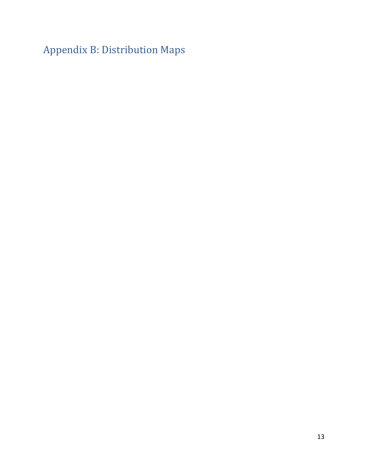Appendix B: Distribution Maps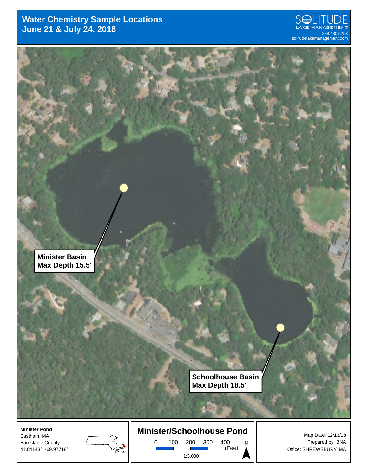#### **Water Chemistry Sample Locations June 21 & July 24, 2018** 888.480.5253 888.480.5253 888.480.5253





Eastham, MA Barnstable County 41.84143°, -69.97718°



**Minister/Schoolhouse Pond**

0 100 200 300 400 Feet 1:3,000

 $\sum_{\nu}$ 

Map Date: 12/13/18 Prepared by: BNA Office: SHREWSBURY, MA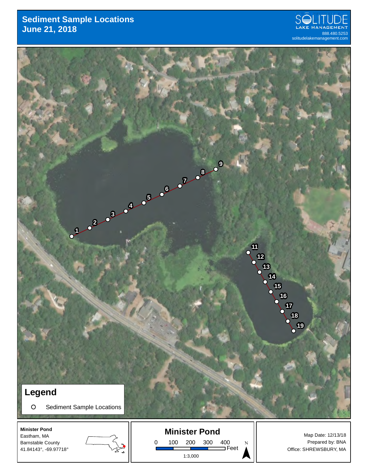#### **Sediment Sample Locations June 21, 2018 888.480.5253**











1:3,000

 $\sum_{\nu}$ 

Map Date: 12/13/18 Prepared by: BNA Office: SHREWSBURY, MA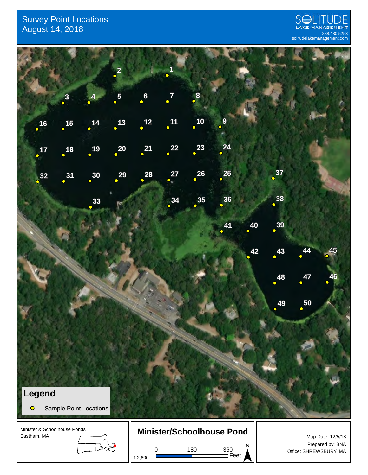#### Survey Point Locations  $\Delta$ ugust 14, 2018  $^{12.5}_{888.480.5253}$



Prepared by: BNA

Office: SHREWSBURY, MA ¯



0 180 360

1:2,600

Feet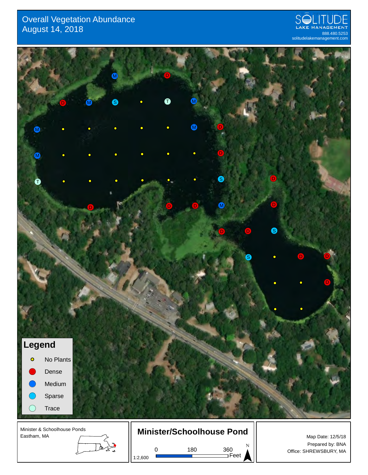#### Overall Vegetation Abundance  $\Delta$ ugust 14, 2018  $^{12.5}_{888.480.5253}$





1:2,600

0 180 360

Feet

Prepared by: BNA Office: SHREWSBURY, MA ¯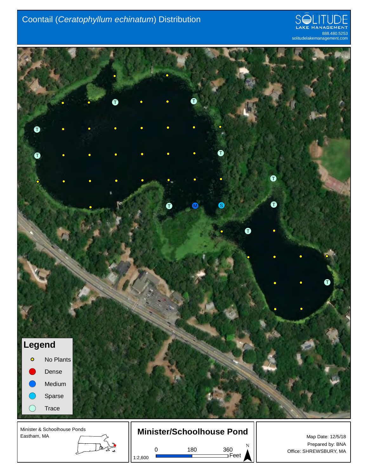### Coontail (*Ceratophyllum echinatum*) Distribution



Office: SHREWSBURY, MA ¯



0 180 360

1:2,600

Feet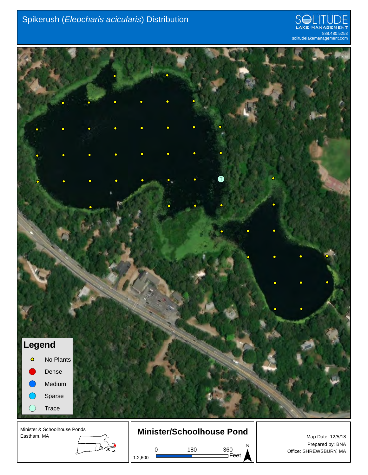



Lladis<br>Lladis 1:2,600

0 180 360 Feet

Map Date: 12/5/18 Prepared by: BNA Office: SHREWSBURY, MA ¯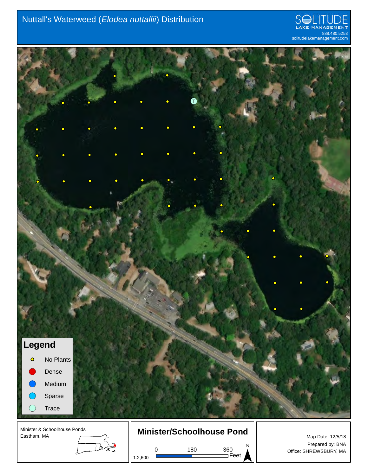### Nuttall's Waterweed (*Elodea nuttallii*) Distribution





Eastham, MA

Lladis<br>Lladis

1:2,600



0 180 360

Feet

Map Date: 12/5/18 Prepared by: BNA Office: SHREWSBURY, MA ¯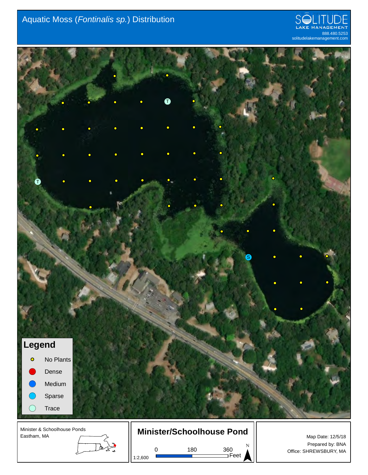## Aquatic Moss (*Fontinalis sp.*) Distribution





0 180 360 1:2,600

Feet

Prepared by: BNA Office: SHREWSBURY, MA ¯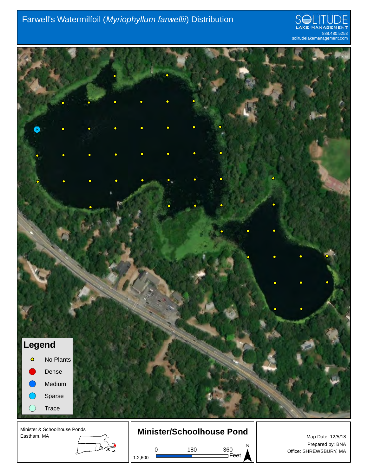## Farwell's Watermilfoil (*Myriophyllum farwellii*) Distribution





1:2,600

Feet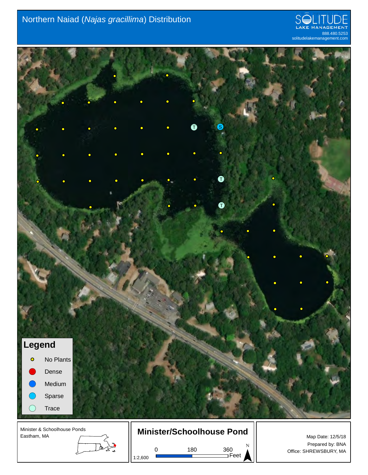### Northern Naiad (*Najas gracillima*) Distribution





0 180 360 1:2,600

Feet

Prepared by: BNA Office: SHREWSBURY, MA ¯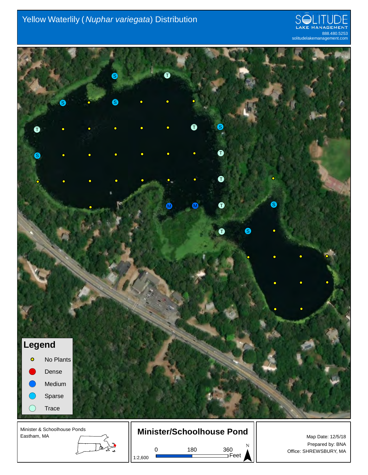### Yellow Waterlily ( *Nuphar variegata*) Distribution





1:2,600

0 180 360

Feet

Prepared by: BNA Office: SHREWSBURY, MA ¯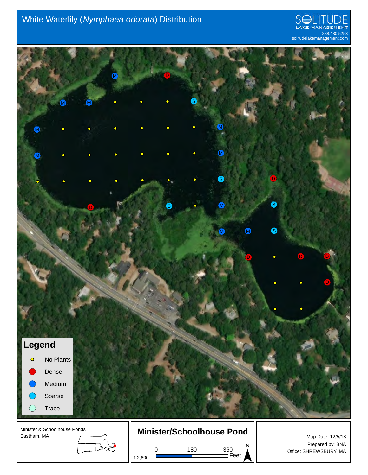### White Waterlily (*Nymphaea odorata*) Distribution

![](_page_26_Picture_1.jpeg)

![](_page_26_Picture_2.jpeg)

Artis

1:2,600

0 180 360

Feet

Map Date: 12/5/18 Prepared by: BNA Office: SHREWSBURY, MA ¯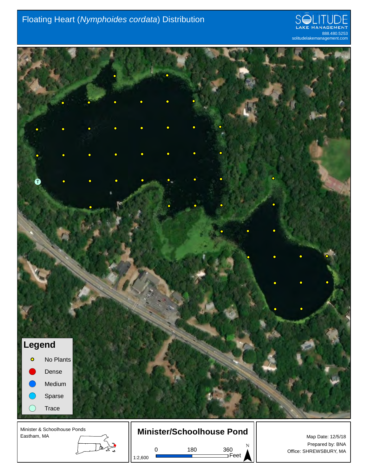### Floating Heart (*Nymphoides cordata*) Distribution

![](_page_27_Picture_1.jpeg)

![](_page_27_Picture_2.jpeg)

Minister & Schoolhouse Ponds Eastham, MA

## **Minister/Schoolhouse Pond**

0 180 360

1:2,600

Lladis<br>Lladis

Feet

Map Date: 12/5/18 Prepared by: BNA Office: SHREWSBURY, MA ¯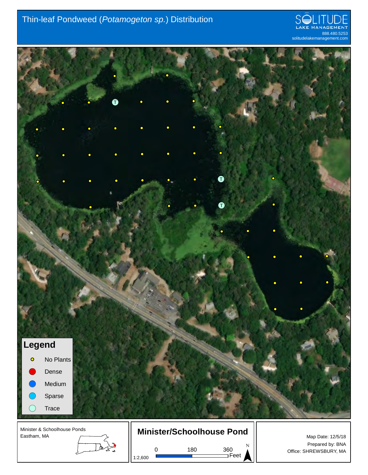### Thin-leaf Pondweed (*Potamogeton sp.*) Distribution

![](_page_28_Picture_1.jpeg)

![](_page_28_Picture_2.jpeg)

1:2,600

Feet

Office: SHREWSBURY, MA ¯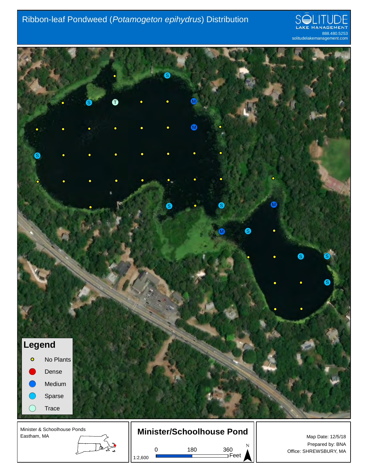### Ribbon-leaf Pondweed (*Potamogeton epihydrus*) Distribution

![](_page_29_Picture_1.jpeg)

![](_page_29_Picture_2.jpeg)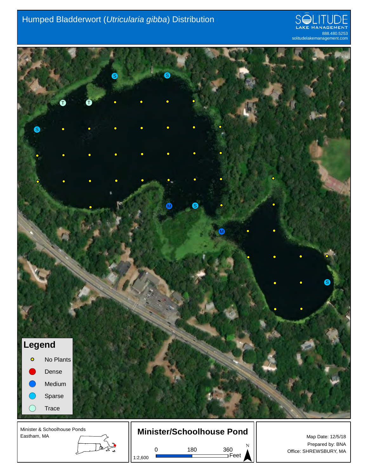### Humped Bladderwort (*Utricularia gibba*) Distribution

![](_page_30_Picture_1.jpeg)

![](_page_30_Picture_2.jpeg)

Lladis<br>Lladis 1:2,600

0 180 360

Feet

Prepared by: BNA Office: SHREWSBURY, MA ¯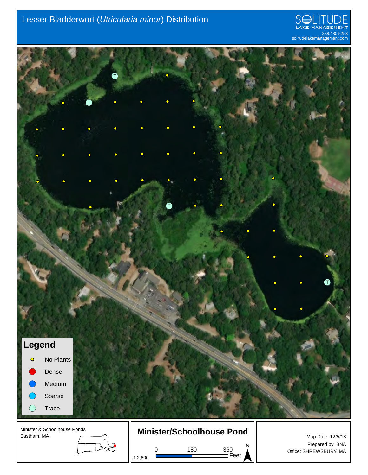### Lesser Bladderwort (*Utricularia minor*) Distribution

![](_page_31_Picture_1.jpeg)

![](_page_31_Picture_2.jpeg)

Eastham, MA

Lladis<br>Lladis

1:2,600

![](_page_31_Figure_5.jpeg)

0 180 360 Feet

Map Date: 12/5/18 Prepared by: BNA Office: SHREWSBURY, MA ¯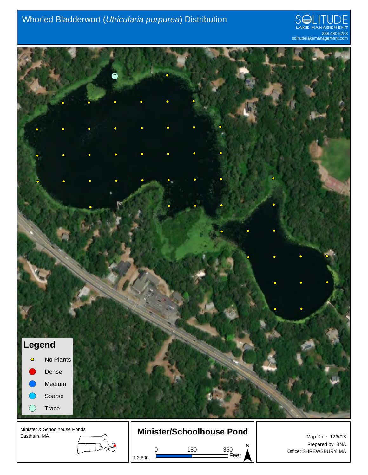### Whorled Bladderwort (*Utricularia purpurea*) Distribution

![](_page_32_Picture_1.jpeg)

![](_page_32_Picture_2.jpeg)

0 180 360 1:2,600

Feet

Prepared by: BNA Office: SHREWSBURY, MA ¯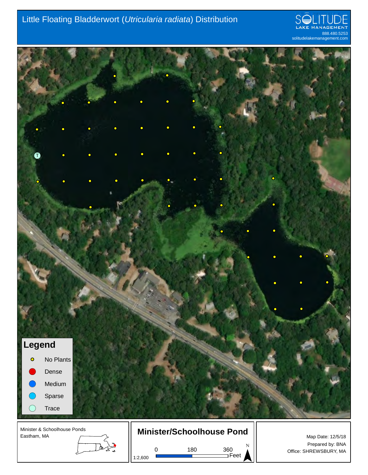### Little Floating Bladderwort (*Utricularia radiata*) Distribution

![](_page_33_Picture_1.jpeg)

![](_page_33_Picture_2.jpeg)

1:2,600

Feet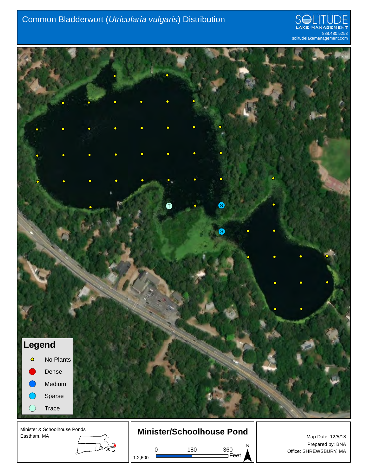### Common Bladderwort (*Utricularia vulgaris*) Distribution

![](_page_34_Picture_1.jpeg)

![](_page_34_Picture_2.jpeg)

1:2,600

Feet